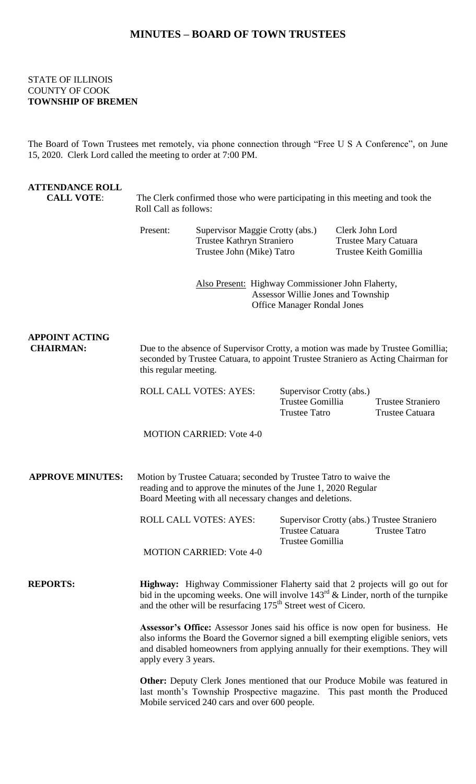## **MINUTES – BOARD OF TOWN TRUSTEES**

## STATE OF ILLINOIS COUNTY OF COOK **TOWNSHIP OF BREMEN**

The Board of Town Trustees met remotely, via phone connection through "Free U S A Conference", on June 15, 2020. Clerk Lord called the meeting to order at 7:00 PM.

| <b>ATTENDANCE ROLL</b><br><b>CALL VOTE:</b> | The Clerk confirmed those who were participating in this meeting and took the<br>Roll Call as follows:                                                                                                                                                                                |                                                                                                                                                                     |                                                                      |                                                                   |                                                                    |
|---------------------------------------------|---------------------------------------------------------------------------------------------------------------------------------------------------------------------------------------------------------------------------------------------------------------------------------------|---------------------------------------------------------------------------------------------------------------------------------------------------------------------|----------------------------------------------------------------------|-------------------------------------------------------------------|--------------------------------------------------------------------|
|                                             | Present:                                                                                                                                                                                                                                                                              | Supervisor Maggie Crotty (abs.)<br>Trustee Kathryn Straniero<br>Trustee John (Mike) Tatro                                                                           |                                                                      | Clerk John Lord<br>Trustee Mary Catuara<br>Trustee Keith Gomillia |                                                                    |
|                                             |                                                                                                                                                                                                                                                                                       | Also Present: Highway Commissioner John Flaherty,<br>Assessor Willie Jones and Township<br><b>Office Manager Rondal Jones</b>                                       |                                                                      |                                                                   |                                                                    |
| <b>APPOINT ACTING</b><br><b>CHAIRMAN:</b>   | this regular meeting.                                                                                                                                                                                                                                                                 | Due to the absence of Supervisor Crotty, a motion was made by Trustee Gomillia;<br>seconded by Trustee Catuara, to appoint Trustee Straniero as Acting Chairman for |                                                                      |                                                                   |                                                                    |
|                                             | ROLL CALL VOTES: AYES:                                                                                                                                                                                                                                                                |                                                                                                                                                                     | Supervisor Crotty (abs.)<br>Trustee Gomillia<br><b>Trustee Tatro</b> |                                                                   | <b>Trustee Straniero</b><br>Trustee Catuara                        |
|                                             |                                                                                                                                                                                                                                                                                       | <b>MOTION CARRIED: Vote 4-0</b>                                                                                                                                     |                                                                      |                                                                   |                                                                    |
| <b>APPROVE MINUTES:</b>                     | Motion by Trustee Catuara; seconded by Trustee Tatro to waive the<br>reading and to approve the minutes of the June 1, 2020 Regular<br>Board Meeting with all necessary changes and deletions.                                                                                        |                                                                                                                                                                     |                                                                      |                                                                   |                                                                    |
|                                             |                                                                                                                                                                                                                                                                                       | <b>ROLL CALL VOTES: AYES:</b>                                                                                                                                       | <b>Trustee Catuara</b><br>Trustee Gomillia                           |                                                                   | Supervisor Crotty (abs.) Trustee Straniero<br><b>Trustee Tatro</b> |
|                                             |                                                                                                                                                                                                                                                                                       | <b>MOTION CARRIED: Vote 4-0</b>                                                                                                                                     |                                                                      |                                                                   |                                                                    |
| <b>REPORTS:</b>                             | Highway: Highway Commissioner Flaherty said that 2 projects will go out for<br>bid in the upcoming weeks. One will involve $143^{rd}$ & Linder, north of the turnpike<br>and the other will be resurfacing 175 <sup>th</sup> Street west of Cicero.                                   |                                                                                                                                                                     |                                                                      |                                                                   |                                                                    |
|                                             | <b>Assessor's Office:</b> Assessor Jones said his office is now open for business. He<br>also informs the Board the Governor signed a bill exempting eligible seniors, vets<br>and disabled homeowners from applying annually for their exemptions. They will<br>apply every 3 years. |                                                                                                                                                                     |                                                                      |                                                                   |                                                                    |
|                                             | <b>Other:</b> Deputy Clerk Jones mentioned that our Produce Mobile was featured in<br>last month's Township Prospective magazine. This past month the Produced                                                                                                                        |                                                                                                                                                                     |                                                                      |                                                                   |                                                                    |

Mobile serviced 240 cars and over 600 people.